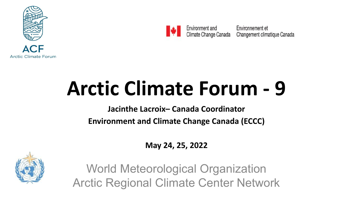



Environment and Climate Change Canada

Environnement et Changement climatique Canada

## **Arctic Climate Forum - 9**

**Jacinthe Lacroix– Canada Coordinator Environment and Climate Change Canada (ECCC)**

**May 24, 25, 2022**



World Meteorological Organization Arctic Regional Climate Center Network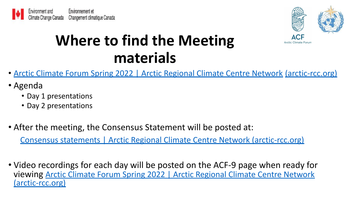



## **Where to find the Meeting materials**

- [Arctic Climate Forum Spring 2022 | Arctic Regional Climate Centre Network](https://arctic-rcc.org/acf-spring-2022) (arctic-rcc.org)
- Agenda
	- Day 1 presentations
	- Day 2 presentations
- After the meeting, the Consensus Statement will be posted at:

[Consensus statements | Arctic Regional Climate Centre Network \(arctic-rcc.org\)](https://arctic-rcc.org/consensus-statements)

• Video recordings for each day will be posted on the ACF-9 page when ready for viewing [Arctic Climate Forum Spring 2022 | Arctic Regional Climate Centre Network](https://arctic-rcc.org/acf-spring-2022) [\(arctic-rcc.org\)](https://arctic-rcc.org/acf-spring-2022)